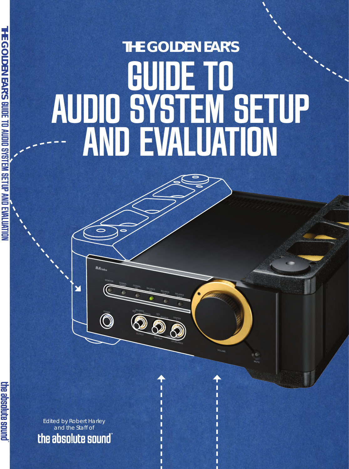# **The Golden Ear's** GUIDE TO Audio System SetUp and Evaluation

Edited by Robert Harley and the Staff of the absolute sound

 $BA_{la}$ 

Y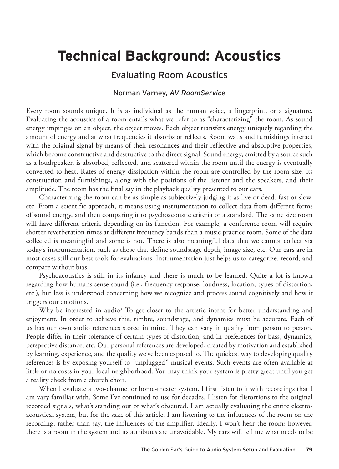# **Technical Background: Acoustics**

# Evaluating Room Acoustics

## Norman Varney, *AV RoomService*

Every room sounds unique. It is as individual as the human voice, a fingerprint, or a signature. Evaluating the acoustics of a room entails what we refer to as "characterizing" the room. As sound energy impinges on an object, the object moves. Each object transfers energy uniquely regarding the amount of energy and at what frequencies it absorbs or reflects. Room walls and furnishings interact with the original signal by means of their resonances and their reflective and absorptive properties, which become constructive and destructive to the direct signal. Sound energy, emitted by a source such as a loudspeaker, is absorbed, reflected, and scattered within the room until the energy is eventually converted to heat. Rates of energy dissipation within the room are controlled by the room size, its construction and furnishings, along with the positions of the listener and the speakers, and their amplitude. The room has the final say in the playback quality presented to our ears.

Characterizing the room can be as simple as subjectively judging it as live or dead, fast or slow, etc. From a scientific approach, it means using instrumentation to collect data from different forms of sound energy, and then comparing it to psychoacoustic criteria or a standard. The same size room will have different criteria depending on its function. For example, a conference room will require shorter reverberation times at different frequency bands than a music practice room. Some of the data collected is meaningful and some is not. There is also meaningful data that we cannot collect via today's instrumentation, such as those that define soundstage depth, image size, etc. Our ears are in most cases still our best tools for evaluations. Instrumentation just helps us to categorize, record, and compare without bias.

Psychoacoustics is still in its infancy and there is much to be learned. Quite a lot is known regarding how humans sense sound (i.e., frequency response, loudness, location, types of distortion, etc.), but less is understood concerning how we recognize and process sound cognitively and how it triggers our emotions.

Why be interested in audio? To get closer to the artistic intent for better understanding and enjoyment. In order to achieve this, timbre, soundstage, and dynamics must be accurate. Each of us has our own audio references stored in mind. They can vary in quality from person to person. People differ in their tolerance of certain types of distortion, and in preferences for bass, dynamics, perspective distance, etc. Our personal references are developed, created by motivation and established by learning, experience, and the quality we've been exposed to. The quickest way to developing quality references is by exposing yourself to "unplugged" musical events. Such events are often available at little or no costs in your local neighborhood. You may think your system is pretty great until you get a reality check from a church choir.

When I evaluate a two-channel or home-theater system, I first listen to it with recordings that I am vary familiar with. Some I've continued to use for decades. I listen for distortions to the original recorded signals, what's standing out or what's obscured. I am actually evaluating the entire electroacoustical system, but for the sake of this article, I am listening to the influences of the room on the recording, rather than say, the influences of the amplifier. Ideally, I won't hear the room; however, there is a room in the system and its attributes are unavoidable. My ears will tell me what needs to be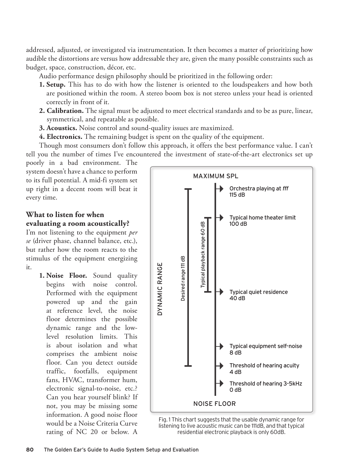addressed, adjusted, or investigated via instrumentation. It then becomes a matter of prioritizing how audible the distortions are versus how addressable they are, given the many possible constraints such as budget, space, construction, décor, etc.

Audio performance design philosophy should be prioritized in the following order:

- **1. Setup.** This has to do with how the listener is oriented to the loudspeakers and how both are positioned within the room. A stereo boom box is not stereo unless your head is oriented correctly in front of it.
- **2. Calibration.** The signal must be adjusted to meet electrical standards and to be as pure, linear, symmetrical, and repeatable as possible.
- **3. Acoustics.** Noise control and sound-quality issues are maximized.
- **4. Electronics.** The remaining budget is spent on the quality of the equipment.

Though most consumers don't follow this approach, it offers the best performance value. I can't tell you the number of times I've encountered the investment of state-of-the-art electronics set up

poorly in a bad environment. The system doesn't have a chance to perform to its full potential. A mid-fi system set up right in a decent room will beat it every time.

# **What to listen for when evaluating a room acoustically?**

I'm not listening to the equipment *per se* (driver phase, channel balance, etc.), but rather how the room reacts to the stimulus of the equipment energizing it.

> **1. Noise Floor.** Sound quality begins with noise control. Performed with the equipment powered up and the gain at reference level, the noise floor determines the possible dynamic range and the lowlevel resolution limits. This is about isolation and what comprises the ambient noise floor. Can you detect outside traffic, footfalls, equipment fans, HVAC, transformer hum, electronic signal-to-noise, etc.? Can you hear yourself blink? If not, you may be missing some information. A good noise floor would be a Noise Criteria Curve rating of NC 20 or below. A



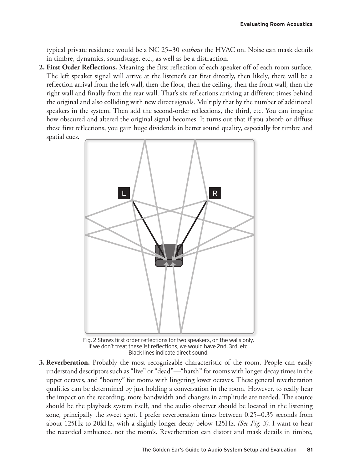typical private residence would be a NC 25–30 *without* the HVAC on. Noise can mask details in timbre, dynamics, soundstage, etc., as well as be a distraction.

**2. First Order Reflections.** Meaning the first reflection of each speaker off of each room surface. The left speaker signal will arrive at the listener's ear first directly, then likely, there will be a reflection arrival from the left wall, then the floor, then the ceiling, then the front wall, then the right wall and finally from the rear wall. That's six reflections arriving at different times behind the original and also colliding with new direct signals. Multiply that by the number of additional speakers in the system. Then add the second-order reflections, the third, etc. You can imagine how obscured and altered the original signal becomes. It turns out that if you absorb or diffuse these first reflections, you gain huge dividends in better sound quality, especially for timbre and spatial cues.



Fig. 2 Shows first order reflections for two speakers, on the walls only. If we don't treat these 1st reflections, we would have 2nd, 3rd, etc. Black lines indicate direct sound.

**3. Reverberation.** Probably the most recognizable characteristic of the room. People can easily understand descriptors such as "live" or "dead"—"harsh" for rooms with longer decay times in the upper octaves, and "boomy" for rooms with lingering lower octaves. These general reverberation qualities can be determined by just holding a conversation in the room. However, to really hear the impact on the recording, more bandwidth and changes in amplitude are needed. The source should be the playback system itself, and the audio observer should be located in the listening zone, principally the sweet spot. I prefer reverberation times between 0.25–0.35 seconds from about 125Hz to 20kHz, with a slightly longer decay below 125Hz. *(See Fig. 3)*. I want to hear the recorded ambience, not the room's. Reverberation can distort and mask details in timbre,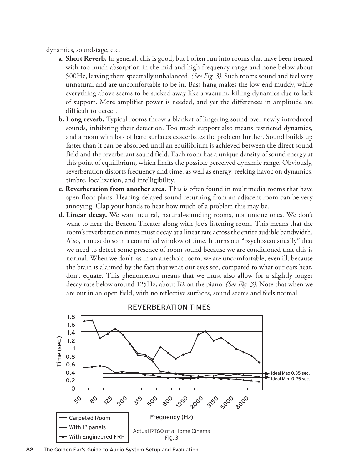dynamics, soundstage, etc.

- **a. Short Reverb.** In general, this is good, but I often run into rooms that have been treated with too much absorption in the mid and high frequency range and none below about 500Hz, leaving them spectrally unbalanced. *(See Fig. 3)*. Such rooms sound and feel very unnatural and are uncomfortable to be in. Bass hang makes the low-end muddy, while everything above seems to be sucked away like a vacuum, killing dynamics due to lack of support. More amplifier power is needed, and yet the differences in amplitude are difficult to detect.
- **b. Long reverb.** Typical rooms throw a blanket of lingering sound over newly introduced sounds, inhibiting their detection. Too much support also means restricted dynamics, and a room with lots of hard surfaces exacerbates the problem further. Sound builds up faster than it can be absorbed until an equilibrium is achieved between the direct sound field and the reverberant sound field. Each room has a unique density of sound energy at this point of equilibrium, which limits the possible perceived dynamic range. Obviously, reverberation distorts frequency and time, as well as energy, reeking havoc on dynamics, timbre, localization, and intelligibility.
- **c. Reverberation from another area.** This is often found in multimedia rooms that have open floor plans. Hearing delayed sound returning from an adjacent room can be very annoying. Clap your hands to hear how much of a problem this may be.
- **d. Linear decay.** We want neutral, natural-sounding rooms, not unique ones. We don't want to hear the Beacon Theater along with Joe's listening room. This means that the room's reverberation times must decay at a linear rate across the entire audible bandwidth. Also, it must do so in a controlled window of time. It turns out "psychoacoustically" that we need to detect some presence of room sound because we are conditioned that this is normal. When we don't, as in an anechoic room, we are uncomfortable, even ill, because the brain is alarmed by the fact that what our eyes see, compared to what our ears hear, don't equate. This phenomenon means that we must also allow for a slightly longer decay rate below around 125Hz, about B2 on the piano. *(See Fig. 3)*. Note that when we are out in an open field, with no reflective surfaces, sound seems and feels normal.



#### Reverberation times

**82** The Golden Ear's Guide to Audio System Setup and Evaluation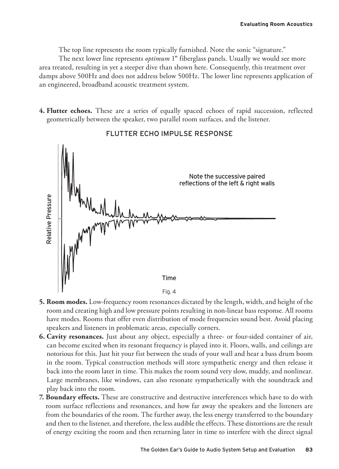The top line represents the room typically furnished. Note the sonic "signature."

The next lower line represents *optimum* 1" fiberglass panels. Usually we would see more area treated, resulting in yet a steeper dive than shown here. Consequently, this treatment over damps above 500Hz and does not address below 500Hz. The lower line represents application of an engineered, broadband acoustic treatment system.

**4. Flutter echoes.** These are a series of equally spaced echoes of rapid succession, reflected geometrically between the speaker, two parallel room surfaces, and the listener.



# Flutter echo impulse response

- **5. Room modes.** Low-frequency room resonances dictated by the length, width, and height of the room and creating high and low pressure points resulting in non-linear bass response. All rooms have modes. Rooms that offer even distribution of mode frequencies sound best. Avoid placing speakers and listeners in problematic areas, especially corners.
- **6. Cavity resonances.** Just about any object, especially a three- or four-sided container of air, can become excited when its resonant frequency is played into it. Floors, walls, and ceilings are notorious for this. Just hit your fist between the studs of your wall and hear a bass drum boom in the room. Typical construction methods will store sympathetic energy and then release it back into the room later in time. This makes the room sound very slow, muddy, and nonlinear. Large membranes, like windows, can also resonate sympathetically with the soundtrack and play back into the room.
- **7. Boundary effects.** These are constructive and destructive interferences which have to do with room surface reflections and resonances, and how far away the speakers and the listeners are from the boundaries of the room. The further away, the less energy transferred to the boundary and then to the listener, and therefore, the less audible the effects. These distortions are the result of energy exciting the room and then returning later in time to interfere with the direct signal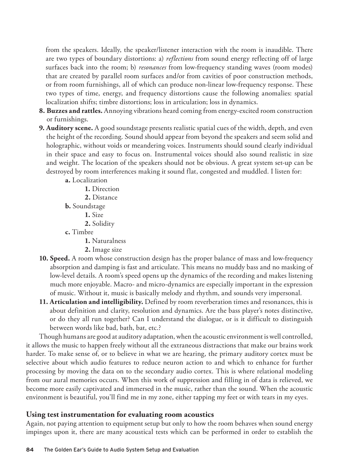from the speakers. Ideally, the speaker/listener interaction with the room is inaudible. There are two types of boundary distortions: a) *reflections* from sound energy reflecting off of large surfaces back into the room; b) *resonances* from low-frequency standing waves (room modes) that are created by parallel room surfaces and/or from cavities of poor construction methods, or from room furnishings, all of which can produce non-linear low-frequency response. These two types of time, energy, and frequency distortions cause the following anomalies: spatial localization shifts; timbre distortions; loss in articulation; loss in dynamics.

- **8. Buzzes and rattles.** Annoying vibrations heard coming from energy-excited room construction or furnishings.
- **9. Auditory scene.** A good soundstage presents realistic spatial cues of the width, depth, and even the height of the recording. Sound should appear from beyond the speakers and seem solid and holographic, without voids or meandering voices. Instruments should sound clearly individual in their space and easy to focus on. Instrumental voices should also sound realistic in size and weight. The location of the speakers should not be obvious. A great system set-up can be destroyed by room interferences making it sound flat, congested and muddled. I listen for:

**a.** Localization

**1.** Direction

**2.** Distance

**b.** Soundstage

**1.** Size

**2.** Solidity

**c.** Timbre

**1.** Naturalness

- **2.** Image size
- **10. Speed.** A room whose construction design has the proper balance of mass and low-frequency absorption and damping is fast and articulate. This means no muddy bass and no masking of low-level details. A room's speed opens up the dynamics of the recording and makes listening much more enjoyable. Macro- and micro-dynamics are especially important in the expression of music. Without it, music is basically melody and rhythm, and sounds very impersonal.
- **11. Articulation and intelligibility.** Defined by room reverberation times and resonances, this is about definition and clarity, resolution and dynamics. Are the bass player's notes distinctive, or do they all run together? Can I understand the dialogue, or is it difficult to distinguish between words like bad, bath, bat, etc.?

Though humans are good at auditory adaptation, when the acoustic environment is well controlled, it allows the music to happen freely without all the extraneous distractions that make our brains work harder. To make sense of, or to believe in what we are hearing, the primary auditory cortex must be selective about which audio features to reduce neuron action to and which to enhance for further processing by moving the data on to the secondary audio cortex. This is where relational modeling from our aural memories occurs. When this work of suppression and filling in of data is relieved, we become more easily captivated and immersed in the music, rather than the sound. When the acoustic environment is beautiful, you'll find me in my zone, either tapping my feet or with tears in my eyes.

# **Using test instrumentation for evaluating room acoustics**

Again, not paying attention to equipment setup but only to how the room behaves when sound energy impinges upon it, there are many acoustical tests which can be performed in order to establish the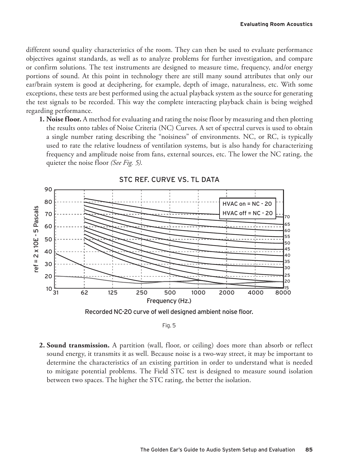different sound quality characteristics of the room. They can then be used to evaluate performance objectives against standards, as well as to analyze problems for further investigation, and compare or confirm solutions. The test instruments are designed to measure time, frequency, and/or energy portions of sound. At this point in technology there are still many sound attributes that only our ear/brain system is good at deciphering, for example, depth of image, naturalness, etc. With some exceptions, these tests are best performed using the actual playback system as the source for generating the test signals to be recorded. This way the complete interacting playback chain is being weighed regarding performance.

**1. Noise floor.** A method for evaluating and rating the noise floor by measuring and then plotting the results onto tables of Noise Criteria (NC) Curves. A set of spectral curves is used to obtain a single number rating describing the "noisiness" of environments. NC, or RC, is typically used to rate the relative loudness of ventilation systems, but is also handy for characterizing frequency and amplitude noise from fans, external sources, etc. The lower the NC rating, the quieter the noise floor *(See Fig. 5)*.







#### Fig. 5

**2. Sound transmission.** A partition (wall, floor, or ceiling) does more than absorb or reflect sound energy, it transmits it as well. Because noise is a two-way street, it may be important to determine the characteristics of an existing partition in order to understand what is needed to mitigate potential problems. The Field STC test is designed to measure sound isolation between two spaces. The higher the STC rating, the better the isolation.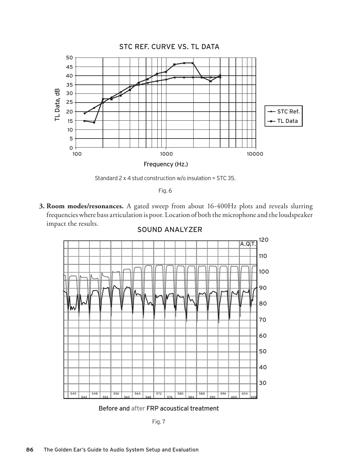

Standard 2 x 4 stud construction w/o insulation = STC 35.

|  | a. | $\sim$ |
|--|----|--------|

**3. Room modes/resonances.** A gated sweep from about 16-400Hz plots and reveals slurring frequencies where bass articulation is poor. Location of both the microphone and the loudspeaker impact the results.



# Sound Analyzer

Before and after FRP acoustical treatment

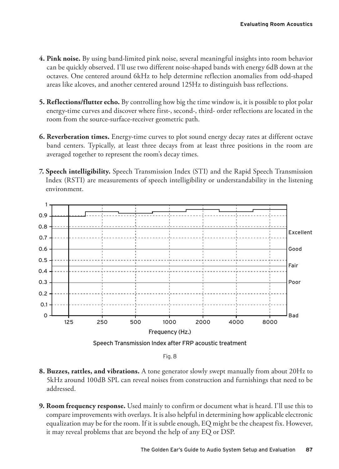- **4. Pink noise.** By using band-limited pink noise, several meaningful insights into room behavior can be quickly observed. I'll use two different noise-shaped bands with energy 6dB down at the octaves. One centered around 6kHz to help determine reflection anomalies from odd-shaped areas like alcoves, and another centered around 125Hz to distinguish bass reflections.
- **5. Reflections/flutter echo.** By controlling how big the time window is, it is possible to plot polar energy-time curves and discover where first-, second-, third- order reflections are located in the room from the source-surface-receiver geometric path.
- **6. Reverberation times.** Energy-time curves to plot sound energy decay rates at different octave band centers. Typically, at least three decays from at least three positions in the room are averaged together to represent the room's decay times.
- **7. Speech intelligibility.** Speech Transmission Index (STI) and the Rapid Speech Transmission Index (RSTI) are measurements of speech intelligibility or understandability in the listening environment.



Fig. 8

- **8. Buzzes, rattles, and vibrations.** A tone generator slowly swept manually from about 20Hz to 5kHz around 100dB SPL can reveal noises from construction and furnishings that need to be addressed.
- **9. Room frequency response.** Used mainly to confirm or document what is heard. I'll use this to compare improvements with overlays. It is also helpful in determining how applicable electronic equalization may be for the room. If it is subtle enough, EQ might be the cheapest fix. However, it may reveal problems that are beyond the help of any EQ or DSP.